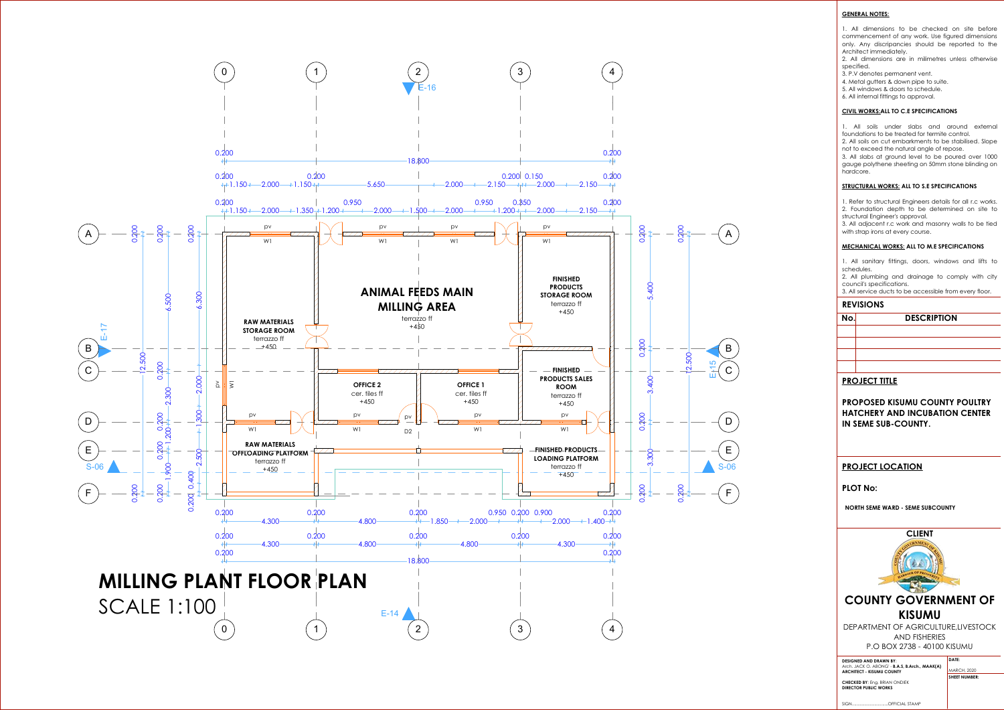### **GENERAL NOTES :**

1. All dimensions to be checked on site before commencement of any work. Use figured dimensions only. Any discripancies should be reported to the Architect immediately .

2. All dimensions are in milimetres unless otherwise specified .

3. P .V denotes permanent vent .

1. Refer to structural Engineers details for all r.c works. 2. Foundation depth to be determined on site to structural Engineer's approval .

4. Metal gutters & down pipe to suite .

5. All windows & doors to schedule .

6. All internal fittings to approval .

### **CIVIL WORKS :ALL TO C .E SPECIFICATIONS**

1. All soils under slabs and around external foundations to be treated for termite control .



2. All soils on cut embarkments to be stabilised. Slope not to exceed the natural angle of repose .

3. All slabs at ground level to be poured over 1000 gauge polythene sheeting on 50mm stone blinding on hardcore .

### **STRUCTURAL WORKS : ALL TO S .E SPECIFICATIONS**

3. All adjacent r .c work and masonry walls to be tied with strap irons at every course .

### **MECHANICAL WORKS : ALL TO M .E SPECIFICATIONS**

1. All sanitary fittings, doors, windows and lifts to schedules .

2. All plumbing and drainage to comply with city council's specifications .

3. All service ducts to be accessible from every floor .

## **REVISIONS**

**No**

# **. DESCRIPTION**

# **PROJECT TITLE**

**PROPOSED KISUMU COUNTY POULTRY HATCHERY AND INCUBATION CENTER IN SEME SUB -COUNTY .**

# **PROJECT LOCATION**

## **PLOT No :**

**NORTH SEME WARD - SEME SUBCOUNTY** 



GSPUblisherVersion 0.4.100.1000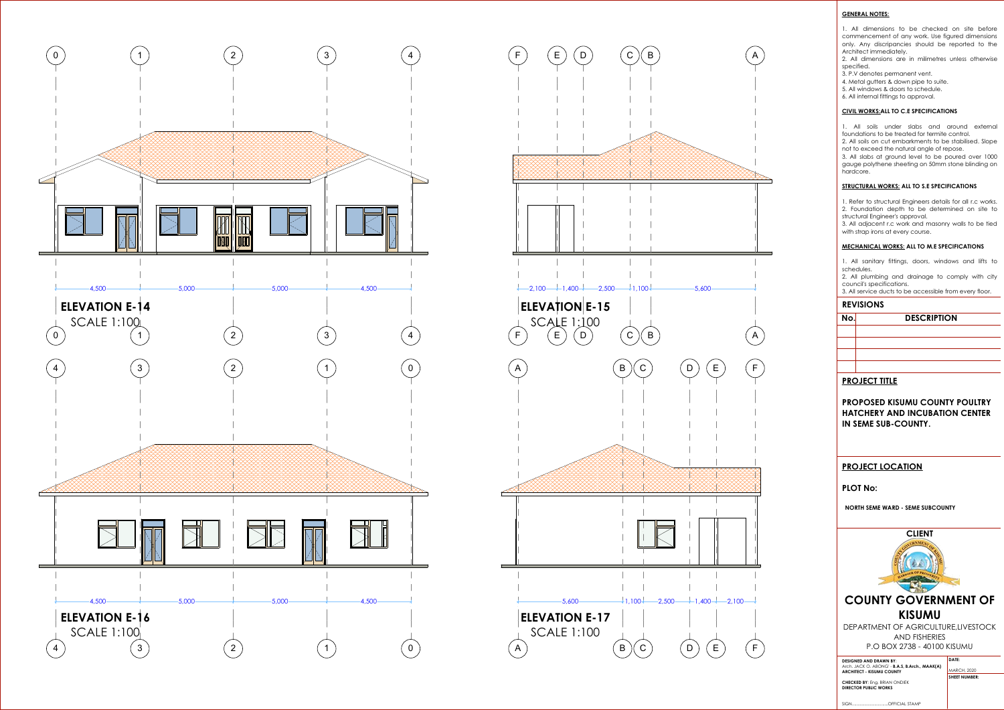### **GENERAL NOTES:**

1. All dimensions to be checked on site before commencement of any work. Use figured dimensions only. Any discripancies should be reported to the Architect immediately.

2. All dimensions are in milimetres unless otherwise specified.

3. All adjacent r.c work and masonry walls to be tied with strap irons at every course.

- 3. P.V denotes permanent vent.
- 4. Metal gutters & down pipe to suite.
- 5. All windows & doors to schedule.
- 6. All internal fittings to approval.

### **CIVIL WORKS:ALL TO C.E SPECIFICATIONS**

1. All soils under slabs and around external foundations to be treated for termite control.



2. All soils on cut embarkments to be stabilised. Slope not to exceed the natural angle of repose.

3. All slabs at ground level to be poured over 1000 gauge polythene sheeting on 50mm stone blinding on hardcore.

#### **STRUCTURAL WORKS: ALL TO S.E SPECIFICATIONS**

1. Refer to structural Engineers details for all r.c works. 2. Foundation depth to be determined on site to structural Engineer's approval.

#### **MECHANICAL WORKS: ALL TO M.E SPECIFICATIONS**

1. All sanitary fittings, doors, windows and lifts to schedules.

2. All plumbing and drainage to comply with city council's specifications.

3. All service ducts to be accessible from every floor.

### **REVISIONS**

# **No. DESCRIPTION**

## **PROJECT TITLE**

**PROPOSED KISUMU COUNTY POULTRY HATCHERY AND INCUBATION CENTER IN SEME SUB-COUNTY.**

## **PROJECT LOCATION**

## **PLOT No:**

**NORTH SEME WARD - SEME SUBCOUNTY** 



GSPUblisherVersion 0.4.100.1000